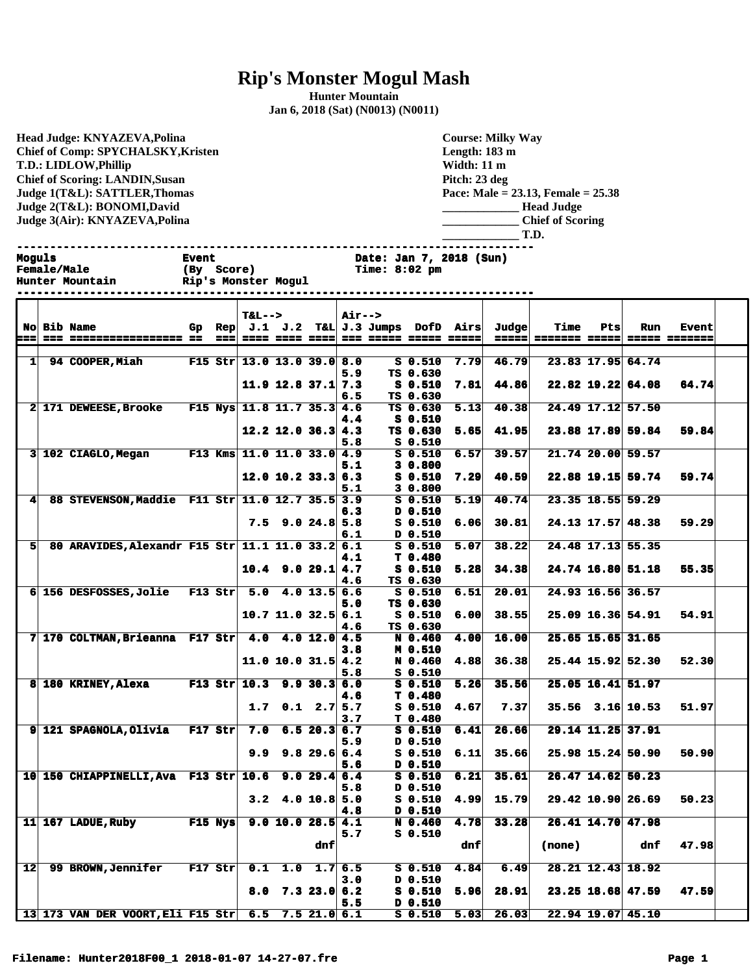## **Rip's Monster Mogul Mash**

**Hunter Mountain Jan 6, 2018 (Sat) (N0013) (N0011)**

**Head Judge: KNYAZEVA,Polina Chief of Comp: SPYCHALSKY,Kristen T.D.: LIDLOW,Phillip Chief of Scoring: LANDIN,Susan Judge 1(T&L): SATTLER,Thomas Judge 2(T&L): BONOMI,David Judge 3(Air): KNYAZEVA,Polina** 

## **Course: Milky Way Length: 183 m Width: 11 m Pitch: 23 deg Pace: Male = 23.13, Female = 25.38 \_\_\_\_\_\_\_\_\_\_\_\_\_ Head Judge \_\_\_\_\_\_\_\_\_\_\_\_\_ Chief of Scoring \_\_\_\_\_\_\_\_\_\_\_\_\_ T.D.**

**Moguls Event Date: Jan 7, 2018 (Sun) Time: 8:02 pm Hunter Mountain Rip's Monster Mogul ------------------------------------------------------------------------------ T&L--> Air--> No Bib Name Gp Rep J.1 J.2 T&L J.3 Jumps DofD Airs Judge Time Pts Run Event === === ================= == === ==== ==== ==== === ===== ===== ===== ===== ======= ===== ===== ======= 1 94 COOPER,Miah F15 Str 13.0 13.0 39.0 8.0 S 0.510 7.79 46.79 23.83 17.95 64.74 5.9 TS 0.630 11.9 12.8 37.1 7.3 S 0.510 7.81 44.86 22.82 19.22 64.08 64.74 6.5 TS 0.630 2 171 DEWEESE,Brooke F15 Nys 11.8 11.7 35.3 4.6 TS 0.630 5.13 40.38 24.49 17.12 57.50 4.4 S 0.510 12.2 12.0 36.3 4.3 TS 0.630 5.65 41.95 23.88 17.89 59.84 59.84 5.8 S 0.510 3 102 CIAGLO,Megan F13 Kms 11.0 11.0 33.0 4.9 S 0.510 6.57 39.57 21.74 20.00 59.57 5.1 3 0.800 12.0 10.2 33.3 6.3 S 0.510 7.29 40.59 22.88 19.15 59.74 59.74 5.1 3 0.800 4 88 STEVENSON,Maddie F11 Str 11.0 12.7 35.5 3.9 S 0.510 5.19 40.74 23.35 18.55 59.29 6.3 D 0.510 7.5 9.0 24.8 5.8 S 0.510 6.06 30.81 24.13 17.57 48.38 59.29 6.1 D 0.510 4.1 T 0.480 4.6 TS 0.630**

**------------------------------------------------------------------------------**

**5 80 ARAVIDES,Alexandr F15 Str 11.1 11.0 33.2 6.1 S 0.510 5.07 38.22 24.48 17.13 55.35 10.4 9.0 29.1 4.7 S 0.510 5.28 34.38 24.74 16.80 51.18 55.35 6 156 DESFOSSES,Jolie F13 Str 5.0 4.0 13.5 6.6 S 0.510 6.51 20.01 24.93 16.56 36.57 5.0 TS 0.630 10.7 11.0 32.5 6.1 S 0.510 6.00 38.55 25.09 16.36 54.91 54.91 4.6 TS 0.630 7 170 COLTMAN,Brieanna F17 Str 4.0 4.0 12.0 4.5 N 0.460 4.00 16.00 25.65 15.65 31.65 3.8 M 0.510 11.0 10.0 31.5 4.2 N 0.460 4.88 36.38 25.44 15.92 52.30 52.30 5.8 S 0.510 8 180 KRINEY,Alexa F13 Str 10.3 9.9 30.3 6.0 S 0.510 5.26 35.56 25.05 16.41 51.97 4.6 T** 0.480<br>**1.7** 0.1 2.7 5.7 **S** 0.510 **1.7 0.1 2.7 5.7 S 0.510 4.67 7.37 35.56 3.16 10.53 51.97 3.7** T 0.480<br>7.0 6.5 20.3 6.7 S 0.510 **9 121 SPAGNOLA,Olivia F17 Str 7.0 6.5 20.3 6.7 S 0.510 6.41 26.66 29.14 11.25 37.91 5.9 D 0.510 9.9 9.8 29.6 6.4 S 0.510 6.11 35.66 25.98 15.24 50.90 50.90 5.6 D 0.510 10 150 CHIAPPINELLI,Ava F13 Str 10.6 9.0 29.4 6.4 S 0.510 6.21 35.61 26.47 14.62 50.23 5.8 D 0.510 3.2 4.0 10.8 5.0 S 0.510 4.99 15.79 29.42 10.90 26.69 50.23 4.8 D 0.510 11 167 LADUE,Ruby F15 Nys 9.0 10.0 28.5 4.1 N 0.460 4.78 33.28 26.41 14.70 47.98 5.7 S 0.510 dnf dnf (none) dnf 47.98 12 99 BROWN,Jennifer F17 Str 0.1 1.0 1.7 6.5 S 0.510 4.84 6.49 28.21 12.43 18.92 3.0 D 0.510 8.0 7.3 23.0 6.2 S 0.510 5.96 28.91 23.25 18.68 47.59 47.59**

**5.5 D 0.510**

**13 173 VAN DER VOORT,Eli F15 Str 6.5 7.5 21.0 6.1 S 0.510 5.03 26.03 22.94 19.07 45.10**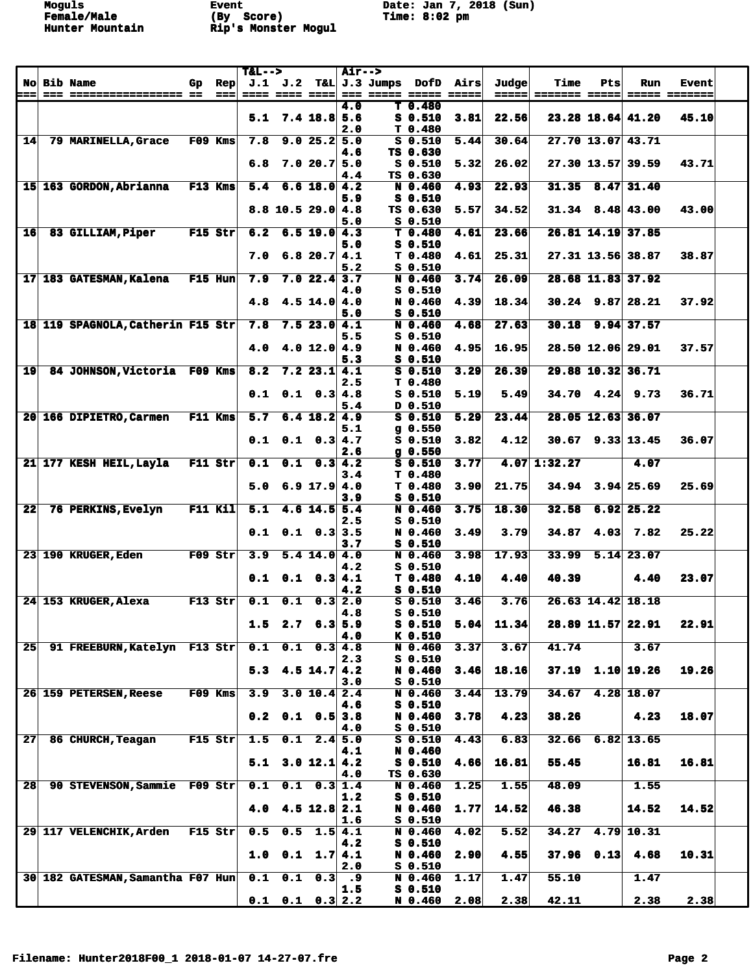**Moguls Event Date: Jan 7, 2018 (Sun)**

| No Bib Name<br>J.1 J.2<br>T&L J.3 Jumps<br>Airs<br>Time<br>Rep<br>DofD<br>Judge<br>Pts<br>Run<br>Gp<br>Event<br>==== ==== ==== <br>=== ===== ===== =====<br>$=$ $=$ $=$ $=$ $=$<br>===<br>=== ================== ==<br>$==$<br>======= ===== <br>===== =======<br>4.0<br>T 0.480<br>$7.4$ 18.8 5.6<br>3.81<br>22.56<br>23.28 18.64 41.20<br>45.10<br>5.1<br>$S_0.510$<br>T 0.480<br>2.0<br>$\overline{27.70}$ 13.07 43.71<br> 14 <br>79 MARINELLA, Grace<br>F09 Kms<br>7.8<br>$9.0$ 25.2 5.0<br>$S$ 0.510<br>5.44<br>30.64<br>4.6<br>TS 0.630<br>7.020.75.0<br>$S_0.510$<br>5.32<br>26.02<br>27.30 13.57 39.59<br>43.71<br>6.8<br>TS 0.630<br>4.4<br>31.35<br>$8.47$ 31.40<br>15 163 GORDON, Abrianna F13 Kms<br>$6.6$ 18.0 4.2<br>N 0.460<br>4.93<br>22.93<br>5.4<br>$S_0.510$<br>5.9<br>34.52<br>$31.34$ 8.48 43.00<br>43.00<br>$8.8$ 10.5 29.0 4.8<br>TS 0.630<br>5.57<br>$S_0.510$<br>5.0<br>26.81 14.19 37.85<br>83 GILLIAM, Piper<br>F15 Str<br>6.2<br>T <sub>0.480</sub><br>4.61<br>23.66<br>16<br>$6.5$ 19.0 4.3<br>$S_0.510$<br>5.0<br>6.8 $20.7$ 4.1<br>T 0.480<br>25.31<br>27.31 13.56 38.87<br>38.87<br>7.0<br>4.61<br>$S_0.510$<br>5.2<br>28.68 11.83 37.92<br>17 183 GATESMAN, Kalena<br>F15 Hun<br>7.9<br>3.74<br>26.09<br>$7.0$ 22.4 3.7<br>N 0.460<br>$S_0.510$<br>4.0<br>$4.5$ 14.0 4.0<br>18.34<br>$30.24$ 9.87 28.21<br>37.92<br>4.8<br>N 0.460<br>4.39<br>5.0<br>$S_0.510$<br>27.63<br>$30.18$ 9.94 37.57<br>18 119 SPAGNOLA, Catherin F15 Str<br>7.8<br>7.523.04.1<br>4.68<br>N 0.460<br>$S_0.510$<br>5.5<br>$4.0$ 12.0 $4.9$<br>N 0.460<br>4.95<br>16.95<br>28.50 12.06 29.01<br>37.57<br>4.0<br>$S_0.510$<br>5.3<br>$\overline{19}$<br>3.29<br>26.39<br>29.88 10.32 36.71<br>84 JOHNSON, Victoria F09 Kms<br>8.2<br>$7.2$ 23.1 4.1<br>$S$ 0.510<br>2.5<br>T <sub>0.480</sub><br>$0.1 \quad 0.3 \, 4.8$<br>$34.70$ 4.24 9.73<br>36.71<br>0.1<br>$S_0.510$<br>5.19<br>5.49<br>D 0.510<br>5.4<br>$\overline{23.44}$<br>28.05 12.63 36.07<br>20 166 DIPIETRO, Carmen<br>F11 Kms<br>5.7<br>$6.4$ 18.2 4.9<br>$S$ 0.510<br>5.29<br>$g$ 0.550<br>5.1<br>$S_0.510$<br>$30.67$ 9.33 13.45<br>36.07<br>$0.1 \quad 0.1 \quad 0.3 \, 4.7$<br>3.82<br>4.12<br>2.6<br>$g$ 0.550<br>21 177 KESH HEIL, Layla<br>F11 Str<br>0.1<br>$\overline{0.1}$<br>3.77<br>$4.07 \mid 1:32.27$<br>$\overline{0.3}$ 4.2<br>$S$ 0.510<br>4.07<br>3.4<br>T <sub>0.480</sub><br>$6.9$ 17.9 4.0<br>3.90<br>21.75<br>$34.94$ $3.94$ 25.69<br>25.69<br>5.0<br>T <sub>0.480</sub><br>$S_0.510$<br>3.9<br>$F11$ Kil<br>$\overline{22}$<br>76 PERKINS, Evelyn<br>32.58<br>$6.92$ 25.22<br>5.1<br>4.6 $14.5$ 5.4<br>N 0.460<br>3.75<br>18.30<br>$S_0.510$<br>2.5<br>25.22<br>$0.1$ $0.1$ $0.3$ 3.5<br>N 0.460<br>3.79<br>34.87<br>4.03<br>7.82<br>3.49<br>$S$ 0.510<br>3.7<br>23 190 KRUGER, Eden<br>$F09$ Str<br>3.98<br>17.93<br>33.99<br>$5.14$ 23.07<br>3.9<br>$5.4$ 14.0 4.0<br>N 0.460<br>$S_0.510$<br>4.2<br>40.39<br>23.07<br>0.1<br>0.1<br>0.3 4.1<br>T <sub>0.480</sub><br>4.10<br>4.40<br>4.40<br>$S_0.510$<br>4.2<br>24 153 KRUGER, Alexa<br>F13 Str<br>0.1<br>$S$ 0.510<br>3.46<br>3.76<br>26.63 14.42 18.18<br>0.1<br>$0.3$ 2.0<br>4.8<br>$S_0.510$<br>11.34<br>1.5<br>$2.7$ 6.3 5.9<br>5.04<br>28.89 11.57 22.91<br>22.91<br>$S_0.510$<br>4.0<br>K 0.510<br>41.74<br>25<br>91 FREEBURN, Katelyn F13 Str<br>0.1<br>0.1<br>0.3   4.8<br>N 0.460<br>3.37<br>3.67<br>3.67<br>S 0.510<br>2.3<br>$37.19$ 1.10 19.26<br>19.26<br>18.16<br>5.3<br>$4.5$ 14.7 $4.2$<br>N 0.460<br>3.46<br>3.0<br>$S_0.510$<br>34.67<br>$4.28$ 18.07<br>26 159 PETERSEN, Reese<br>F09 Kms<br>3.9<br>3.0 10.4 2.4<br>N 0.460<br>3.44<br>13.79<br>4.6<br>$S_0.510$<br>38.26<br>18.07<br>N 0.460<br>4.23<br>4.23<br>0.2<br>$0.1 \quad 0.5$ 3.8<br>3.78<br>$S_0.510$<br>4.0<br>$2.4 \overline{5.0}$<br>$6.82$ 13.65<br>27<br>F15 Str<br>1.5<br>0.1<br>$S$ 0.510<br>4.43<br>6.83<br>32.66<br>86 CHURCH, Teagan<br>N 0.460<br>4.1<br>16.81<br>3.0 12.1 4.2<br>$S$ 0.510<br>4.66<br>16.81<br>55.45<br>16.81<br>5.1<br>TS 0.630<br>4.0<br>48.09<br>28<br>90 STEVENSON, Sammie F09 Str<br>0.1<br>$0.1 \quad 0.3 \vert 1.4$<br>N 0.460<br>1.25<br>1.55<br>1.55<br>$S_0.510$<br>1.2<br>$4.5$ 12.8 2.1<br>N 0.460<br>14.52<br>46.38<br>14.52<br>14.52<br>4.0<br>1.77<br>$S_0.510$<br>1.6<br>34.27<br>$4.79$ 10.31<br>$F15$ Str<br>0.5<br>N 0.460<br>4.02<br>5.52<br>29 117 VELENCHIK, Arden<br>0.5<br>$1.5$ 4.1<br>$S$ 0.510<br>4.2<br>37.96<br>0.13<br>1.0<br>$0.1 \quad 1.7 \, 4.1$<br>2.90<br>4.55<br>4.68<br>10.31<br>N 0.460<br>2.0<br>$S_0.510$<br>55.10<br>30 182 GATESMAN, Samantha F07 Hun<br>0.1<br>0.1<br>N 0.460<br>1.17<br>1.47<br>1.47<br>0.3<br>.9<br>$S$ 0.510<br>1.5<br>$0.1$ $0.1$ $0.3$ $2.2$<br>N 0.460 |  |  | $T&L-->$ |  | Air--> |  |      |      |       |      |      |  |
|--------------------------------------------------------------------------------------------------------------------------------------------------------------------------------------------------------------------------------------------------------------------------------------------------------------------------------------------------------------------------------------------------------------------------------------------------------------------------------------------------------------------------------------------------------------------------------------------------------------------------------------------------------------------------------------------------------------------------------------------------------------------------------------------------------------------------------------------------------------------------------------------------------------------------------------------------------------------------------------------------------------------------------------------------------------------------------------------------------------------------------------------------------------------------------------------------------------------------------------------------------------------------------------------------------------------------------------------------------------------------------------------------------------------------------------------------------------------------------------------------------------------------------------------------------------------------------------------------------------------------------------------------------------------------------------------------------------------------------------------------------------------------------------------------------------------------------------------------------------------------------------------------------------------------------------------------------------------------------------------------------------------------------------------------------------------------------------------------------------------------------------------------------------------------------------------------------------------------------------------------------------------------------------------------------------------------------------------------------------------------------------------------------------------------------------------------------------------------------------------------------------------------------------------------------------------------------------------------------------------------------------------------------------------------------------------------------------------------------------------------------------------------------------------------------------------------------------------------------------------------------------------------------------------------------------------------------------------------------------------------------------------------------------------------------------------------------------------------------------------------------------------------------------------------------------------------------------------------------------------------------------------------------------------------------------------------------------------------------------------------------------------------------------------------------------------------------------------------------------------------------------------------------------------------------------------------------------------------------------------------------------------------------------------------------------------------------------------------------------------------------------------------------------------------------------------------------------------------------------------------------------------------------------------------------------------------------------------------------------------------------------------------------------------------------------------------------------------------------------------------------------------------------------------------------------------------------------------------------------------------------------------------------------------------------------------------------------------------------------------------------------------------------------------------------------------------------------------------------------------------------------------------------------------------------------------------------------------------------------------------------------------------------------------------------------|--|--|----------|--|--------|--|------|------|-------|------|------|--|
|                                                                                                                                                                                                                                                                                                                                                                                                                                                                                                                                                                                                                                                                                                                                                                                                                                                                                                                                                                                                                                                                                                                                                                                                                                                                                                                                                                                                                                                                                                                                                                                                                                                                                                                                                                                                                                                                                                                                                                                                                                                                                                                                                                                                                                                                                                                                                                                                                                                                                                                                                                                                                                                                                                                                                                                                                                                                                                                                                                                                                                                                                                                                                                                                                                                                                                                                                                                                                                                                                                                                                                                                                                                                                                                                                                                                                                                                                                                                                                                                                                                                                                                                                                                                                                                                                                                                                                                                                                                                                                                                                                                                                                                                                      |  |  |          |  |        |  |      |      |       |      |      |  |
|                                                                                                                                                                                                                                                                                                                                                                                                                                                                                                                                                                                                                                                                                                                                                                                                                                                                                                                                                                                                                                                                                                                                                                                                                                                                                                                                                                                                                                                                                                                                                                                                                                                                                                                                                                                                                                                                                                                                                                                                                                                                                                                                                                                                                                                                                                                                                                                                                                                                                                                                                                                                                                                                                                                                                                                                                                                                                                                                                                                                                                                                                                                                                                                                                                                                                                                                                                                                                                                                                                                                                                                                                                                                                                                                                                                                                                                                                                                                                                                                                                                                                                                                                                                                                                                                                                                                                                                                                                                                                                                                                                                                                                                                                      |  |  |          |  |        |  |      |      |       |      |      |  |
|                                                                                                                                                                                                                                                                                                                                                                                                                                                                                                                                                                                                                                                                                                                                                                                                                                                                                                                                                                                                                                                                                                                                                                                                                                                                                                                                                                                                                                                                                                                                                                                                                                                                                                                                                                                                                                                                                                                                                                                                                                                                                                                                                                                                                                                                                                                                                                                                                                                                                                                                                                                                                                                                                                                                                                                                                                                                                                                                                                                                                                                                                                                                                                                                                                                                                                                                                                                                                                                                                                                                                                                                                                                                                                                                                                                                                                                                                                                                                                                                                                                                                                                                                                                                                                                                                                                                                                                                                                                                                                                                                                                                                                                                                      |  |  |          |  |        |  |      |      |       |      |      |  |
|                                                                                                                                                                                                                                                                                                                                                                                                                                                                                                                                                                                                                                                                                                                                                                                                                                                                                                                                                                                                                                                                                                                                                                                                                                                                                                                                                                                                                                                                                                                                                                                                                                                                                                                                                                                                                                                                                                                                                                                                                                                                                                                                                                                                                                                                                                                                                                                                                                                                                                                                                                                                                                                                                                                                                                                                                                                                                                                                                                                                                                                                                                                                                                                                                                                                                                                                                                                                                                                                                                                                                                                                                                                                                                                                                                                                                                                                                                                                                                                                                                                                                                                                                                                                                                                                                                                                                                                                                                                                                                                                                                                                                                                                                      |  |  |          |  |        |  |      |      |       |      |      |  |
|                                                                                                                                                                                                                                                                                                                                                                                                                                                                                                                                                                                                                                                                                                                                                                                                                                                                                                                                                                                                                                                                                                                                                                                                                                                                                                                                                                                                                                                                                                                                                                                                                                                                                                                                                                                                                                                                                                                                                                                                                                                                                                                                                                                                                                                                                                                                                                                                                                                                                                                                                                                                                                                                                                                                                                                                                                                                                                                                                                                                                                                                                                                                                                                                                                                                                                                                                                                                                                                                                                                                                                                                                                                                                                                                                                                                                                                                                                                                                                                                                                                                                                                                                                                                                                                                                                                                                                                                                                                                                                                                                                                                                                                                                      |  |  |          |  |        |  |      |      |       |      |      |  |
|                                                                                                                                                                                                                                                                                                                                                                                                                                                                                                                                                                                                                                                                                                                                                                                                                                                                                                                                                                                                                                                                                                                                                                                                                                                                                                                                                                                                                                                                                                                                                                                                                                                                                                                                                                                                                                                                                                                                                                                                                                                                                                                                                                                                                                                                                                                                                                                                                                                                                                                                                                                                                                                                                                                                                                                                                                                                                                                                                                                                                                                                                                                                                                                                                                                                                                                                                                                                                                                                                                                                                                                                                                                                                                                                                                                                                                                                                                                                                                                                                                                                                                                                                                                                                                                                                                                                                                                                                                                                                                                                                                                                                                                                                      |  |  |          |  |        |  |      |      |       |      |      |  |
|                                                                                                                                                                                                                                                                                                                                                                                                                                                                                                                                                                                                                                                                                                                                                                                                                                                                                                                                                                                                                                                                                                                                                                                                                                                                                                                                                                                                                                                                                                                                                                                                                                                                                                                                                                                                                                                                                                                                                                                                                                                                                                                                                                                                                                                                                                                                                                                                                                                                                                                                                                                                                                                                                                                                                                                                                                                                                                                                                                                                                                                                                                                                                                                                                                                                                                                                                                                                                                                                                                                                                                                                                                                                                                                                                                                                                                                                                                                                                                                                                                                                                                                                                                                                                                                                                                                                                                                                                                                                                                                                                                                                                                                                                      |  |  |          |  |        |  |      |      |       |      |      |  |
|                                                                                                                                                                                                                                                                                                                                                                                                                                                                                                                                                                                                                                                                                                                                                                                                                                                                                                                                                                                                                                                                                                                                                                                                                                                                                                                                                                                                                                                                                                                                                                                                                                                                                                                                                                                                                                                                                                                                                                                                                                                                                                                                                                                                                                                                                                                                                                                                                                                                                                                                                                                                                                                                                                                                                                                                                                                                                                                                                                                                                                                                                                                                                                                                                                                                                                                                                                                                                                                                                                                                                                                                                                                                                                                                                                                                                                                                                                                                                                                                                                                                                                                                                                                                                                                                                                                                                                                                                                                                                                                                                                                                                                                                                      |  |  |          |  |        |  |      |      |       |      |      |  |
|                                                                                                                                                                                                                                                                                                                                                                                                                                                                                                                                                                                                                                                                                                                                                                                                                                                                                                                                                                                                                                                                                                                                                                                                                                                                                                                                                                                                                                                                                                                                                                                                                                                                                                                                                                                                                                                                                                                                                                                                                                                                                                                                                                                                                                                                                                                                                                                                                                                                                                                                                                                                                                                                                                                                                                                                                                                                                                                                                                                                                                                                                                                                                                                                                                                                                                                                                                                                                                                                                                                                                                                                                                                                                                                                                                                                                                                                                                                                                                                                                                                                                                                                                                                                                                                                                                                                                                                                                                                                                                                                                                                                                                                                                      |  |  |          |  |        |  |      |      |       |      |      |  |
|                                                                                                                                                                                                                                                                                                                                                                                                                                                                                                                                                                                                                                                                                                                                                                                                                                                                                                                                                                                                                                                                                                                                                                                                                                                                                                                                                                                                                                                                                                                                                                                                                                                                                                                                                                                                                                                                                                                                                                                                                                                                                                                                                                                                                                                                                                                                                                                                                                                                                                                                                                                                                                                                                                                                                                                                                                                                                                                                                                                                                                                                                                                                                                                                                                                                                                                                                                                                                                                                                                                                                                                                                                                                                                                                                                                                                                                                                                                                                                                                                                                                                                                                                                                                                                                                                                                                                                                                                                                                                                                                                                                                                                                                                      |  |  |          |  |        |  |      |      |       |      |      |  |
|                                                                                                                                                                                                                                                                                                                                                                                                                                                                                                                                                                                                                                                                                                                                                                                                                                                                                                                                                                                                                                                                                                                                                                                                                                                                                                                                                                                                                                                                                                                                                                                                                                                                                                                                                                                                                                                                                                                                                                                                                                                                                                                                                                                                                                                                                                                                                                                                                                                                                                                                                                                                                                                                                                                                                                                                                                                                                                                                                                                                                                                                                                                                                                                                                                                                                                                                                                                                                                                                                                                                                                                                                                                                                                                                                                                                                                                                                                                                                                                                                                                                                                                                                                                                                                                                                                                                                                                                                                                                                                                                                                                                                                                                                      |  |  |          |  |        |  |      |      |       |      |      |  |
|                                                                                                                                                                                                                                                                                                                                                                                                                                                                                                                                                                                                                                                                                                                                                                                                                                                                                                                                                                                                                                                                                                                                                                                                                                                                                                                                                                                                                                                                                                                                                                                                                                                                                                                                                                                                                                                                                                                                                                                                                                                                                                                                                                                                                                                                                                                                                                                                                                                                                                                                                                                                                                                                                                                                                                                                                                                                                                                                                                                                                                                                                                                                                                                                                                                                                                                                                                                                                                                                                                                                                                                                                                                                                                                                                                                                                                                                                                                                                                                                                                                                                                                                                                                                                                                                                                                                                                                                                                                                                                                                                                                                                                                                                      |  |  |          |  |        |  |      |      |       |      |      |  |
|                                                                                                                                                                                                                                                                                                                                                                                                                                                                                                                                                                                                                                                                                                                                                                                                                                                                                                                                                                                                                                                                                                                                                                                                                                                                                                                                                                                                                                                                                                                                                                                                                                                                                                                                                                                                                                                                                                                                                                                                                                                                                                                                                                                                                                                                                                                                                                                                                                                                                                                                                                                                                                                                                                                                                                                                                                                                                                                                                                                                                                                                                                                                                                                                                                                                                                                                                                                                                                                                                                                                                                                                                                                                                                                                                                                                                                                                                                                                                                                                                                                                                                                                                                                                                                                                                                                                                                                                                                                                                                                                                                                                                                                                                      |  |  |          |  |        |  |      |      |       |      |      |  |
|                                                                                                                                                                                                                                                                                                                                                                                                                                                                                                                                                                                                                                                                                                                                                                                                                                                                                                                                                                                                                                                                                                                                                                                                                                                                                                                                                                                                                                                                                                                                                                                                                                                                                                                                                                                                                                                                                                                                                                                                                                                                                                                                                                                                                                                                                                                                                                                                                                                                                                                                                                                                                                                                                                                                                                                                                                                                                                                                                                                                                                                                                                                                                                                                                                                                                                                                                                                                                                                                                                                                                                                                                                                                                                                                                                                                                                                                                                                                                                                                                                                                                                                                                                                                                                                                                                                                                                                                                                                                                                                                                                                                                                                                                      |  |  |          |  |        |  |      |      |       |      |      |  |
|                                                                                                                                                                                                                                                                                                                                                                                                                                                                                                                                                                                                                                                                                                                                                                                                                                                                                                                                                                                                                                                                                                                                                                                                                                                                                                                                                                                                                                                                                                                                                                                                                                                                                                                                                                                                                                                                                                                                                                                                                                                                                                                                                                                                                                                                                                                                                                                                                                                                                                                                                                                                                                                                                                                                                                                                                                                                                                                                                                                                                                                                                                                                                                                                                                                                                                                                                                                                                                                                                                                                                                                                                                                                                                                                                                                                                                                                                                                                                                                                                                                                                                                                                                                                                                                                                                                                                                                                                                                                                                                                                                                                                                                                                      |  |  |          |  |        |  |      |      |       |      |      |  |
|                                                                                                                                                                                                                                                                                                                                                                                                                                                                                                                                                                                                                                                                                                                                                                                                                                                                                                                                                                                                                                                                                                                                                                                                                                                                                                                                                                                                                                                                                                                                                                                                                                                                                                                                                                                                                                                                                                                                                                                                                                                                                                                                                                                                                                                                                                                                                                                                                                                                                                                                                                                                                                                                                                                                                                                                                                                                                                                                                                                                                                                                                                                                                                                                                                                                                                                                                                                                                                                                                                                                                                                                                                                                                                                                                                                                                                                                                                                                                                                                                                                                                                                                                                                                                                                                                                                                                                                                                                                                                                                                                                                                                                                                                      |  |  |          |  |        |  |      |      |       |      |      |  |
|                                                                                                                                                                                                                                                                                                                                                                                                                                                                                                                                                                                                                                                                                                                                                                                                                                                                                                                                                                                                                                                                                                                                                                                                                                                                                                                                                                                                                                                                                                                                                                                                                                                                                                                                                                                                                                                                                                                                                                                                                                                                                                                                                                                                                                                                                                                                                                                                                                                                                                                                                                                                                                                                                                                                                                                                                                                                                                                                                                                                                                                                                                                                                                                                                                                                                                                                                                                                                                                                                                                                                                                                                                                                                                                                                                                                                                                                                                                                                                                                                                                                                                                                                                                                                                                                                                                                                                                                                                                                                                                                                                                                                                                                                      |  |  |          |  |        |  |      |      |       |      |      |  |
|                                                                                                                                                                                                                                                                                                                                                                                                                                                                                                                                                                                                                                                                                                                                                                                                                                                                                                                                                                                                                                                                                                                                                                                                                                                                                                                                                                                                                                                                                                                                                                                                                                                                                                                                                                                                                                                                                                                                                                                                                                                                                                                                                                                                                                                                                                                                                                                                                                                                                                                                                                                                                                                                                                                                                                                                                                                                                                                                                                                                                                                                                                                                                                                                                                                                                                                                                                                                                                                                                                                                                                                                                                                                                                                                                                                                                                                                                                                                                                                                                                                                                                                                                                                                                                                                                                                                                                                                                                                                                                                                                                                                                                                                                      |  |  |          |  |        |  |      |      |       |      |      |  |
|                                                                                                                                                                                                                                                                                                                                                                                                                                                                                                                                                                                                                                                                                                                                                                                                                                                                                                                                                                                                                                                                                                                                                                                                                                                                                                                                                                                                                                                                                                                                                                                                                                                                                                                                                                                                                                                                                                                                                                                                                                                                                                                                                                                                                                                                                                                                                                                                                                                                                                                                                                                                                                                                                                                                                                                                                                                                                                                                                                                                                                                                                                                                                                                                                                                                                                                                                                                                                                                                                                                                                                                                                                                                                                                                                                                                                                                                                                                                                                                                                                                                                                                                                                                                                                                                                                                                                                                                                                                                                                                                                                                                                                                                                      |  |  |          |  |        |  |      |      |       |      |      |  |
|                                                                                                                                                                                                                                                                                                                                                                                                                                                                                                                                                                                                                                                                                                                                                                                                                                                                                                                                                                                                                                                                                                                                                                                                                                                                                                                                                                                                                                                                                                                                                                                                                                                                                                                                                                                                                                                                                                                                                                                                                                                                                                                                                                                                                                                                                                                                                                                                                                                                                                                                                                                                                                                                                                                                                                                                                                                                                                                                                                                                                                                                                                                                                                                                                                                                                                                                                                                                                                                                                                                                                                                                                                                                                                                                                                                                                                                                                                                                                                                                                                                                                                                                                                                                                                                                                                                                                                                                                                                                                                                                                                                                                                                                                      |  |  |          |  |        |  |      |      |       |      |      |  |
|                                                                                                                                                                                                                                                                                                                                                                                                                                                                                                                                                                                                                                                                                                                                                                                                                                                                                                                                                                                                                                                                                                                                                                                                                                                                                                                                                                                                                                                                                                                                                                                                                                                                                                                                                                                                                                                                                                                                                                                                                                                                                                                                                                                                                                                                                                                                                                                                                                                                                                                                                                                                                                                                                                                                                                                                                                                                                                                                                                                                                                                                                                                                                                                                                                                                                                                                                                                                                                                                                                                                                                                                                                                                                                                                                                                                                                                                                                                                                                                                                                                                                                                                                                                                                                                                                                                                                                                                                                                                                                                                                                                                                                                                                      |  |  |          |  |        |  |      |      |       |      |      |  |
|                                                                                                                                                                                                                                                                                                                                                                                                                                                                                                                                                                                                                                                                                                                                                                                                                                                                                                                                                                                                                                                                                                                                                                                                                                                                                                                                                                                                                                                                                                                                                                                                                                                                                                                                                                                                                                                                                                                                                                                                                                                                                                                                                                                                                                                                                                                                                                                                                                                                                                                                                                                                                                                                                                                                                                                                                                                                                                                                                                                                                                                                                                                                                                                                                                                                                                                                                                                                                                                                                                                                                                                                                                                                                                                                                                                                                                                                                                                                                                                                                                                                                                                                                                                                                                                                                                                                                                                                                                                                                                                                                                                                                                                                                      |  |  |          |  |        |  |      |      |       |      |      |  |
|                                                                                                                                                                                                                                                                                                                                                                                                                                                                                                                                                                                                                                                                                                                                                                                                                                                                                                                                                                                                                                                                                                                                                                                                                                                                                                                                                                                                                                                                                                                                                                                                                                                                                                                                                                                                                                                                                                                                                                                                                                                                                                                                                                                                                                                                                                                                                                                                                                                                                                                                                                                                                                                                                                                                                                                                                                                                                                                                                                                                                                                                                                                                                                                                                                                                                                                                                                                                                                                                                                                                                                                                                                                                                                                                                                                                                                                                                                                                                                                                                                                                                                                                                                                                                                                                                                                                                                                                                                                                                                                                                                                                                                                                                      |  |  |          |  |        |  |      |      |       |      |      |  |
|                                                                                                                                                                                                                                                                                                                                                                                                                                                                                                                                                                                                                                                                                                                                                                                                                                                                                                                                                                                                                                                                                                                                                                                                                                                                                                                                                                                                                                                                                                                                                                                                                                                                                                                                                                                                                                                                                                                                                                                                                                                                                                                                                                                                                                                                                                                                                                                                                                                                                                                                                                                                                                                                                                                                                                                                                                                                                                                                                                                                                                                                                                                                                                                                                                                                                                                                                                                                                                                                                                                                                                                                                                                                                                                                                                                                                                                                                                                                                                                                                                                                                                                                                                                                                                                                                                                                                                                                                                                                                                                                                                                                                                                                                      |  |  |          |  |        |  |      |      |       |      |      |  |
|                                                                                                                                                                                                                                                                                                                                                                                                                                                                                                                                                                                                                                                                                                                                                                                                                                                                                                                                                                                                                                                                                                                                                                                                                                                                                                                                                                                                                                                                                                                                                                                                                                                                                                                                                                                                                                                                                                                                                                                                                                                                                                                                                                                                                                                                                                                                                                                                                                                                                                                                                                                                                                                                                                                                                                                                                                                                                                                                                                                                                                                                                                                                                                                                                                                                                                                                                                                                                                                                                                                                                                                                                                                                                                                                                                                                                                                                                                                                                                                                                                                                                                                                                                                                                                                                                                                                                                                                                                                                                                                                                                                                                                                                                      |  |  |          |  |        |  |      |      |       |      |      |  |
|                                                                                                                                                                                                                                                                                                                                                                                                                                                                                                                                                                                                                                                                                                                                                                                                                                                                                                                                                                                                                                                                                                                                                                                                                                                                                                                                                                                                                                                                                                                                                                                                                                                                                                                                                                                                                                                                                                                                                                                                                                                                                                                                                                                                                                                                                                                                                                                                                                                                                                                                                                                                                                                                                                                                                                                                                                                                                                                                                                                                                                                                                                                                                                                                                                                                                                                                                                                                                                                                                                                                                                                                                                                                                                                                                                                                                                                                                                                                                                                                                                                                                                                                                                                                                                                                                                                                                                                                                                                                                                                                                                                                                                                                                      |  |  |          |  |        |  |      |      |       |      |      |  |
|                                                                                                                                                                                                                                                                                                                                                                                                                                                                                                                                                                                                                                                                                                                                                                                                                                                                                                                                                                                                                                                                                                                                                                                                                                                                                                                                                                                                                                                                                                                                                                                                                                                                                                                                                                                                                                                                                                                                                                                                                                                                                                                                                                                                                                                                                                                                                                                                                                                                                                                                                                                                                                                                                                                                                                                                                                                                                                                                                                                                                                                                                                                                                                                                                                                                                                                                                                                                                                                                                                                                                                                                                                                                                                                                                                                                                                                                                                                                                                                                                                                                                                                                                                                                                                                                                                                                                                                                                                                                                                                                                                                                                                                                                      |  |  |          |  |        |  |      |      |       |      |      |  |
|                                                                                                                                                                                                                                                                                                                                                                                                                                                                                                                                                                                                                                                                                                                                                                                                                                                                                                                                                                                                                                                                                                                                                                                                                                                                                                                                                                                                                                                                                                                                                                                                                                                                                                                                                                                                                                                                                                                                                                                                                                                                                                                                                                                                                                                                                                                                                                                                                                                                                                                                                                                                                                                                                                                                                                                                                                                                                                                                                                                                                                                                                                                                                                                                                                                                                                                                                                                                                                                                                                                                                                                                                                                                                                                                                                                                                                                                                                                                                                                                                                                                                                                                                                                                                                                                                                                                                                                                                                                                                                                                                                                                                                                                                      |  |  |          |  |        |  |      |      |       |      |      |  |
|                                                                                                                                                                                                                                                                                                                                                                                                                                                                                                                                                                                                                                                                                                                                                                                                                                                                                                                                                                                                                                                                                                                                                                                                                                                                                                                                                                                                                                                                                                                                                                                                                                                                                                                                                                                                                                                                                                                                                                                                                                                                                                                                                                                                                                                                                                                                                                                                                                                                                                                                                                                                                                                                                                                                                                                                                                                                                                                                                                                                                                                                                                                                                                                                                                                                                                                                                                                                                                                                                                                                                                                                                                                                                                                                                                                                                                                                                                                                                                                                                                                                                                                                                                                                                                                                                                                                                                                                                                                                                                                                                                                                                                                                                      |  |  |          |  |        |  |      |      |       |      |      |  |
|                                                                                                                                                                                                                                                                                                                                                                                                                                                                                                                                                                                                                                                                                                                                                                                                                                                                                                                                                                                                                                                                                                                                                                                                                                                                                                                                                                                                                                                                                                                                                                                                                                                                                                                                                                                                                                                                                                                                                                                                                                                                                                                                                                                                                                                                                                                                                                                                                                                                                                                                                                                                                                                                                                                                                                                                                                                                                                                                                                                                                                                                                                                                                                                                                                                                                                                                                                                                                                                                                                                                                                                                                                                                                                                                                                                                                                                                                                                                                                                                                                                                                                                                                                                                                                                                                                                                                                                                                                                                                                                                                                                                                                                                                      |  |  |          |  |        |  |      |      |       |      |      |  |
|                                                                                                                                                                                                                                                                                                                                                                                                                                                                                                                                                                                                                                                                                                                                                                                                                                                                                                                                                                                                                                                                                                                                                                                                                                                                                                                                                                                                                                                                                                                                                                                                                                                                                                                                                                                                                                                                                                                                                                                                                                                                                                                                                                                                                                                                                                                                                                                                                                                                                                                                                                                                                                                                                                                                                                                                                                                                                                                                                                                                                                                                                                                                                                                                                                                                                                                                                                                                                                                                                                                                                                                                                                                                                                                                                                                                                                                                                                                                                                                                                                                                                                                                                                                                                                                                                                                                                                                                                                                                                                                                                                                                                                                                                      |  |  |          |  |        |  |      |      |       |      |      |  |
|                                                                                                                                                                                                                                                                                                                                                                                                                                                                                                                                                                                                                                                                                                                                                                                                                                                                                                                                                                                                                                                                                                                                                                                                                                                                                                                                                                                                                                                                                                                                                                                                                                                                                                                                                                                                                                                                                                                                                                                                                                                                                                                                                                                                                                                                                                                                                                                                                                                                                                                                                                                                                                                                                                                                                                                                                                                                                                                                                                                                                                                                                                                                                                                                                                                                                                                                                                                                                                                                                                                                                                                                                                                                                                                                                                                                                                                                                                                                                                                                                                                                                                                                                                                                                                                                                                                                                                                                                                                                                                                                                                                                                                                                                      |  |  |          |  |        |  |      |      |       |      |      |  |
|                                                                                                                                                                                                                                                                                                                                                                                                                                                                                                                                                                                                                                                                                                                                                                                                                                                                                                                                                                                                                                                                                                                                                                                                                                                                                                                                                                                                                                                                                                                                                                                                                                                                                                                                                                                                                                                                                                                                                                                                                                                                                                                                                                                                                                                                                                                                                                                                                                                                                                                                                                                                                                                                                                                                                                                                                                                                                                                                                                                                                                                                                                                                                                                                                                                                                                                                                                                                                                                                                                                                                                                                                                                                                                                                                                                                                                                                                                                                                                                                                                                                                                                                                                                                                                                                                                                                                                                                                                                                                                                                                                                                                                                                                      |  |  |          |  |        |  |      |      |       |      |      |  |
|                                                                                                                                                                                                                                                                                                                                                                                                                                                                                                                                                                                                                                                                                                                                                                                                                                                                                                                                                                                                                                                                                                                                                                                                                                                                                                                                                                                                                                                                                                                                                                                                                                                                                                                                                                                                                                                                                                                                                                                                                                                                                                                                                                                                                                                                                                                                                                                                                                                                                                                                                                                                                                                                                                                                                                                                                                                                                                                                                                                                                                                                                                                                                                                                                                                                                                                                                                                                                                                                                                                                                                                                                                                                                                                                                                                                                                                                                                                                                                                                                                                                                                                                                                                                                                                                                                                                                                                                                                                                                                                                                                                                                                                                                      |  |  |          |  |        |  |      |      |       |      |      |  |
|                                                                                                                                                                                                                                                                                                                                                                                                                                                                                                                                                                                                                                                                                                                                                                                                                                                                                                                                                                                                                                                                                                                                                                                                                                                                                                                                                                                                                                                                                                                                                                                                                                                                                                                                                                                                                                                                                                                                                                                                                                                                                                                                                                                                                                                                                                                                                                                                                                                                                                                                                                                                                                                                                                                                                                                                                                                                                                                                                                                                                                                                                                                                                                                                                                                                                                                                                                                                                                                                                                                                                                                                                                                                                                                                                                                                                                                                                                                                                                                                                                                                                                                                                                                                                                                                                                                                                                                                                                                                                                                                                                                                                                                                                      |  |  |          |  |        |  |      |      |       |      |      |  |
|                                                                                                                                                                                                                                                                                                                                                                                                                                                                                                                                                                                                                                                                                                                                                                                                                                                                                                                                                                                                                                                                                                                                                                                                                                                                                                                                                                                                                                                                                                                                                                                                                                                                                                                                                                                                                                                                                                                                                                                                                                                                                                                                                                                                                                                                                                                                                                                                                                                                                                                                                                                                                                                                                                                                                                                                                                                                                                                                                                                                                                                                                                                                                                                                                                                                                                                                                                                                                                                                                                                                                                                                                                                                                                                                                                                                                                                                                                                                                                                                                                                                                                                                                                                                                                                                                                                                                                                                                                                                                                                                                                                                                                                                                      |  |  |          |  |        |  |      |      |       |      |      |  |
|                                                                                                                                                                                                                                                                                                                                                                                                                                                                                                                                                                                                                                                                                                                                                                                                                                                                                                                                                                                                                                                                                                                                                                                                                                                                                                                                                                                                                                                                                                                                                                                                                                                                                                                                                                                                                                                                                                                                                                                                                                                                                                                                                                                                                                                                                                                                                                                                                                                                                                                                                                                                                                                                                                                                                                                                                                                                                                                                                                                                                                                                                                                                                                                                                                                                                                                                                                                                                                                                                                                                                                                                                                                                                                                                                                                                                                                                                                                                                                                                                                                                                                                                                                                                                                                                                                                                                                                                                                                                                                                                                                                                                                                                                      |  |  |          |  |        |  |      |      |       |      |      |  |
|                                                                                                                                                                                                                                                                                                                                                                                                                                                                                                                                                                                                                                                                                                                                                                                                                                                                                                                                                                                                                                                                                                                                                                                                                                                                                                                                                                                                                                                                                                                                                                                                                                                                                                                                                                                                                                                                                                                                                                                                                                                                                                                                                                                                                                                                                                                                                                                                                                                                                                                                                                                                                                                                                                                                                                                                                                                                                                                                                                                                                                                                                                                                                                                                                                                                                                                                                                                                                                                                                                                                                                                                                                                                                                                                                                                                                                                                                                                                                                                                                                                                                                                                                                                                                                                                                                                                                                                                                                                                                                                                                                                                                                                                                      |  |  |          |  |        |  |      |      |       |      |      |  |
|                                                                                                                                                                                                                                                                                                                                                                                                                                                                                                                                                                                                                                                                                                                                                                                                                                                                                                                                                                                                                                                                                                                                                                                                                                                                                                                                                                                                                                                                                                                                                                                                                                                                                                                                                                                                                                                                                                                                                                                                                                                                                                                                                                                                                                                                                                                                                                                                                                                                                                                                                                                                                                                                                                                                                                                                                                                                                                                                                                                                                                                                                                                                                                                                                                                                                                                                                                                                                                                                                                                                                                                                                                                                                                                                                                                                                                                                                                                                                                                                                                                                                                                                                                                                                                                                                                                                                                                                                                                                                                                                                                                                                                                                                      |  |  |          |  |        |  |      |      |       |      |      |  |
|                                                                                                                                                                                                                                                                                                                                                                                                                                                                                                                                                                                                                                                                                                                                                                                                                                                                                                                                                                                                                                                                                                                                                                                                                                                                                                                                                                                                                                                                                                                                                                                                                                                                                                                                                                                                                                                                                                                                                                                                                                                                                                                                                                                                                                                                                                                                                                                                                                                                                                                                                                                                                                                                                                                                                                                                                                                                                                                                                                                                                                                                                                                                                                                                                                                                                                                                                                                                                                                                                                                                                                                                                                                                                                                                                                                                                                                                                                                                                                                                                                                                                                                                                                                                                                                                                                                                                                                                                                                                                                                                                                                                                                                                                      |  |  |          |  |        |  |      |      |       |      |      |  |
|                                                                                                                                                                                                                                                                                                                                                                                                                                                                                                                                                                                                                                                                                                                                                                                                                                                                                                                                                                                                                                                                                                                                                                                                                                                                                                                                                                                                                                                                                                                                                                                                                                                                                                                                                                                                                                                                                                                                                                                                                                                                                                                                                                                                                                                                                                                                                                                                                                                                                                                                                                                                                                                                                                                                                                                                                                                                                                                                                                                                                                                                                                                                                                                                                                                                                                                                                                                                                                                                                                                                                                                                                                                                                                                                                                                                                                                                                                                                                                                                                                                                                                                                                                                                                                                                                                                                                                                                                                                                                                                                                                                                                                                                                      |  |  |          |  |        |  |      |      |       |      |      |  |
|                                                                                                                                                                                                                                                                                                                                                                                                                                                                                                                                                                                                                                                                                                                                                                                                                                                                                                                                                                                                                                                                                                                                                                                                                                                                                                                                                                                                                                                                                                                                                                                                                                                                                                                                                                                                                                                                                                                                                                                                                                                                                                                                                                                                                                                                                                                                                                                                                                                                                                                                                                                                                                                                                                                                                                                                                                                                                                                                                                                                                                                                                                                                                                                                                                                                                                                                                                                                                                                                                                                                                                                                                                                                                                                                                                                                                                                                                                                                                                                                                                                                                                                                                                                                                                                                                                                                                                                                                                                                                                                                                                                                                                                                                      |  |  |          |  |        |  |      |      |       |      |      |  |
|                                                                                                                                                                                                                                                                                                                                                                                                                                                                                                                                                                                                                                                                                                                                                                                                                                                                                                                                                                                                                                                                                                                                                                                                                                                                                                                                                                                                                                                                                                                                                                                                                                                                                                                                                                                                                                                                                                                                                                                                                                                                                                                                                                                                                                                                                                                                                                                                                                                                                                                                                                                                                                                                                                                                                                                                                                                                                                                                                                                                                                                                                                                                                                                                                                                                                                                                                                                                                                                                                                                                                                                                                                                                                                                                                                                                                                                                                                                                                                                                                                                                                                                                                                                                                                                                                                                                                                                                                                                                                                                                                                                                                                                                                      |  |  |          |  |        |  |      |      |       |      |      |  |
|                                                                                                                                                                                                                                                                                                                                                                                                                                                                                                                                                                                                                                                                                                                                                                                                                                                                                                                                                                                                                                                                                                                                                                                                                                                                                                                                                                                                                                                                                                                                                                                                                                                                                                                                                                                                                                                                                                                                                                                                                                                                                                                                                                                                                                                                                                                                                                                                                                                                                                                                                                                                                                                                                                                                                                                                                                                                                                                                                                                                                                                                                                                                                                                                                                                                                                                                                                                                                                                                                                                                                                                                                                                                                                                                                                                                                                                                                                                                                                                                                                                                                                                                                                                                                                                                                                                                                                                                                                                                                                                                                                                                                                                                                      |  |  |          |  |        |  |      |      |       |      |      |  |
|                                                                                                                                                                                                                                                                                                                                                                                                                                                                                                                                                                                                                                                                                                                                                                                                                                                                                                                                                                                                                                                                                                                                                                                                                                                                                                                                                                                                                                                                                                                                                                                                                                                                                                                                                                                                                                                                                                                                                                                                                                                                                                                                                                                                                                                                                                                                                                                                                                                                                                                                                                                                                                                                                                                                                                                                                                                                                                                                                                                                                                                                                                                                                                                                                                                                                                                                                                                                                                                                                                                                                                                                                                                                                                                                                                                                                                                                                                                                                                                                                                                                                                                                                                                                                                                                                                                                                                                                                                                                                                                                                                                                                                                                                      |  |  |          |  |        |  |      |      |       |      |      |  |
|                                                                                                                                                                                                                                                                                                                                                                                                                                                                                                                                                                                                                                                                                                                                                                                                                                                                                                                                                                                                                                                                                                                                                                                                                                                                                                                                                                                                                                                                                                                                                                                                                                                                                                                                                                                                                                                                                                                                                                                                                                                                                                                                                                                                                                                                                                                                                                                                                                                                                                                                                                                                                                                                                                                                                                                                                                                                                                                                                                                                                                                                                                                                                                                                                                                                                                                                                                                                                                                                                                                                                                                                                                                                                                                                                                                                                                                                                                                                                                                                                                                                                                                                                                                                                                                                                                                                                                                                                                                                                                                                                                                                                                                                                      |  |  |          |  |        |  |      |      |       |      |      |  |
|                                                                                                                                                                                                                                                                                                                                                                                                                                                                                                                                                                                                                                                                                                                                                                                                                                                                                                                                                                                                                                                                                                                                                                                                                                                                                                                                                                                                                                                                                                                                                                                                                                                                                                                                                                                                                                                                                                                                                                                                                                                                                                                                                                                                                                                                                                                                                                                                                                                                                                                                                                                                                                                                                                                                                                                                                                                                                                                                                                                                                                                                                                                                                                                                                                                                                                                                                                                                                                                                                                                                                                                                                                                                                                                                                                                                                                                                                                                                                                                                                                                                                                                                                                                                                                                                                                                                                                                                                                                                                                                                                                                                                                                                                      |  |  |          |  |        |  |      |      |       |      |      |  |
|                                                                                                                                                                                                                                                                                                                                                                                                                                                                                                                                                                                                                                                                                                                                                                                                                                                                                                                                                                                                                                                                                                                                                                                                                                                                                                                                                                                                                                                                                                                                                                                                                                                                                                                                                                                                                                                                                                                                                                                                                                                                                                                                                                                                                                                                                                                                                                                                                                                                                                                                                                                                                                                                                                                                                                                                                                                                                                                                                                                                                                                                                                                                                                                                                                                                                                                                                                                                                                                                                                                                                                                                                                                                                                                                                                                                                                                                                                                                                                                                                                                                                                                                                                                                                                                                                                                                                                                                                                                                                                                                                                                                                                                                                      |  |  |          |  |        |  |      |      |       |      |      |  |
|                                                                                                                                                                                                                                                                                                                                                                                                                                                                                                                                                                                                                                                                                                                                                                                                                                                                                                                                                                                                                                                                                                                                                                                                                                                                                                                                                                                                                                                                                                                                                                                                                                                                                                                                                                                                                                                                                                                                                                                                                                                                                                                                                                                                                                                                                                                                                                                                                                                                                                                                                                                                                                                                                                                                                                                                                                                                                                                                                                                                                                                                                                                                                                                                                                                                                                                                                                                                                                                                                                                                                                                                                                                                                                                                                                                                                                                                                                                                                                                                                                                                                                                                                                                                                                                                                                                                                                                                                                                                                                                                                                                                                                                                                      |  |  |          |  |        |  |      |      |       |      |      |  |
|                                                                                                                                                                                                                                                                                                                                                                                                                                                                                                                                                                                                                                                                                                                                                                                                                                                                                                                                                                                                                                                                                                                                                                                                                                                                                                                                                                                                                                                                                                                                                                                                                                                                                                                                                                                                                                                                                                                                                                                                                                                                                                                                                                                                                                                                                                                                                                                                                                                                                                                                                                                                                                                                                                                                                                                                                                                                                                                                                                                                                                                                                                                                                                                                                                                                                                                                                                                                                                                                                                                                                                                                                                                                                                                                                                                                                                                                                                                                                                                                                                                                                                                                                                                                                                                                                                                                                                                                                                                                                                                                                                                                                                                                                      |  |  |          |  |        |  |      |      |       |      |      |  |
|                                                                                                                                                                                                                                                                                                                                                                                                                                                                                                                                                                                                                                                                                                                                                                                                                                                                                                                                                                                                                                                                                                                                                                                                                                                                                                                                                                                                                                                                                                                                                                                                                                                                                                                                                                                                                                                                                                                                                                                                                                                                                                                                                                                                                                                                                                                                                                                                                                                                                                                                                                                                                                                                                                                                                                                                                                                                                                                                                                                                                                                                                                                                                                                                                                                                                                                                                                                                                                                                                                                                                                                                                                                                                                                                                                                                                                                                                                                                                                                                                                                                                                                                                                                                                                                                                                                                                                                                                                                                                                                                                                                                                                                                                      |  |  |          |  |        |  |      |      |       |      |      |  |
|                                                                                                                                                                                                                                                                                                                                                                                                                                                                                                                                                                                                                                                                                                                                                                                                                                                                                                                                                                                                                                                                                                                                                                                                                                                                                                                                                                                                                                                                                                                                                                                                                                                                                                                                                                                                                                                                                                                                                                                                                                                                                                                                                                                                                                                                                                                                                                                                                                                                                                                                                                                                                                                                                                                                                                                                                                                                                                                                                                                                                                                                                                                                                                                                                                                                                                                                                                                                                                                                                                                                                                                                                                                                                                                                                                                                                                                                                                                                                                                                                                                                                                                                                                                                                                                                                                                                                                                                                                                                                                                                                                                                                                                                                      |  |  |          |  |        |  |      |      |       |      |      |  |
|                                                                                                                                                                                                                                                                                                                                                                                                                                                                                                                                                                                                                                                                                                                                                                                                                                                                                                                                                                                                                                                                                                                                                                                                                                                                                                                                                                                                                                                                                                                                                                                                                                                                                                                                                                                                                                                                                                                                                                                                                                                                                                                                                                                                                                                                                                                                                                                                                                                                                                                                                                                                                                                                                                                                                                                                                                                                                                                                                                                                                                                                                                                                                                                                                                                                                                                                                                                                                                                                                                                                                                                                                                                                                                                                                                                                                                                                                                                                                                                                                                                                                                                                                                                                                                                                                                                                                                                                                                                                                                                                                                                                                                                                                      |  |  |          |  |        |  |      |      |       |      |      |  |
|                                                                                                                                                                                                                                                                                                                                                                                                                                                                                                                                                                                                                                                                                                                                                                                                                                                                                                                                                                                                                                                                                                                                                                                                                                                                                                                                                                                                                                                                                                                                                                                                                                                                                                                                                                                                                                                                                                                                                                                                                                                                                                                                                                                                                                                                                                                                                                                                                                                                                                                                                                                                                                                                                                                                                                                                                                                                                                                                                                                                                                                                                                                                                                                                                                                                                                                                                                                                                                                                                                                                                                                                                                                                                                                                                                                                                                                                                                                                                                                                                                                                                                                                                                                                                                                                                                                                                                                                                                                                                                                                                                                                                                                                                      |  |  |          |  |        |  |      |      |       |      |      |  |
|                                                                                                                                                                                                                                                                                                                                                                                                                                                                                                                                                                                                                                                                                                                                                                                                                                                                                                                                                                                                                                                                                                                                                                                                                                                                                                                                                                                                                                                                                                                                                                                                                                                                                                                                                                                                                                                                                                                                                                                                                                                                                                                                                                                                                                                                                                                                                                                                                                                                                                                                                                                                                                                                                                                                                                                                                                                                                                                                                                                                                                                                                                                                                                                                                                                                                                                                                                                                                                                                                                                                                                                                                                                                                                                                                                                                                                                                                                                                                                                                                                                                                                                                                                                                                                                                                                                                                                                                                                                                                                                                                                                                                                                                                      |  |  |          |  |        |  |      |      |       |      |      |  |
|                                                                                                                                                                                                                                                                                                                                                                                                                                                                                                                                                                                                                                                                                                                                                                                                                                                                                                                                                                                                                                                                                                                                                                                                                                                                                                                                                                                                                                                                                                                                                                                                                                                                                                                                                                                                                                                                                                                                                                                                                                                                                                                                                                                                                                                                                                                                                                                                                                                                                                                                                                                                                                                                                                                                                                                                                                                                                                                                                                                                                                                                                                                                                                                                                                                                                                                                                                                                                                                                                                                                                                                                                                                                                                                                                                                                                                                                                                                                                                                                                                                                                                                                                                                                                                                                                                                                                                                                                                                                                                                                                                                                                                                                                      |  |  |          |  |        |  |      |      |       |      |      |  |
|                                                                                                                                                                                                                                                                                                                                                                                                                                                                                                                                                                                                                                                                                                                                                                                                                                                                                                                                                                                                                                                                                                                                                                                                                                                                                                                                                                                                                                                                                                                                                                                                                                                                                                                                                                                                                                                                                                                                                                                                                                                                                                                                                                                                                                                                                                                                                                                                                                                                                                                                                                                                                                                                                                                                                                                                                                                                                                                                                                                                                                                                                                                                                                                                                                                                                                                                                                                                                                                                                                                                                                                                                                                                                                                                                                                                                                                                                                                                                                                                                                                                                                                                                                                                                                                                                                                                                                                                                                                                                                                                                                                                                                                                                      |  |  |          |  |        |  |      |      |       |      |      |  |
|                                                                                                                                                                                                                                                                                                                                                                                                                                                                                                                                                                                                                                                                                                                                                                                                                                                                                                                                                                                                                                                                                                                                                                                                                                                                                                                                                                                                                                                                                                                                                                                                                                                                                                                                                                                                                                                                                                                                                                                                                                                                                                                                                                                                                                                                                                                                                                                                                                                                                                                                                                                                                                                                                                                                                                                                                                                                                                                                                                                                                                                                                                                                                                                                                                                                                                                                                                                                                                                                                                                                                                                                                                                                                                                                                                                                                                                                                                                                                                                                                                                                                                                                                                                                                                                                                                                                                                                                                                                                                                                                                                                                                                                                                      |  |  |          |  |        |  |      |      |       |      |      |  |
|                                                                                                                                                                                                                                                                                                                                                                                                                                                                                                                                                                                                                                                                                                                                                                                                                                                                                                                                                                                                                                                                                                                                                                                                                                                                                                                                                                                                                                                                                                                                                                                                                                                                                                                                                                                                                                                                                                                                                                                                                                                                                                                                                                                                                                                                                                                                                                                                                                                                                                                                                                                                                                                                                                                                                                                                                                                                                                                                                                                                                                                                                                                                                                                                                                                                                                                                                                                                                                                                                                                                                                                                                                                                                                                                                                                                                                                                                                                                                                                                                                                                                                                                                                                                                                                                                                                                                                                                                                                                                                                                                                                                                                                                                      |  |  |          |  |        |  |      |      |       |      |      |  |
|                                                                                                                                                                                                                                                                                                                                                                                                                                                                                                                                                                                                                                                                                                                                                                                                                                                                                                                                                                                                                                                                                                                                                                                                                                                                                                                                                                                                                                                                                                                                                                                                                                                                                                                                                                                                                                                                                                                                                                                                                                                                                                                                                                                                                                                                                                                                                                                                                                                                                                                                                                                                                                                                                                                                                                                                                                                                                                                                                                                                                                                                                                                                                                                                                                                                                                                                                                                                                                                                                                                                                                                                                                                                                                                                                                                                                                                                                                                                                                                                                                                                                                                                                                                                                                                                                                                                                                                                                                                                                                                                                                                                                                                                                      |  |  |          |  |        |  |      |      |       |      |      |  |
|                                                                                                                                                                                                                                                                                                                                                                                                                                                                                                                                                                                                                                                                                                                                                                                                                                                                                                                                                                                                                                                                                                                                                                                                                                                                                                                                                                                                                                                                                                                                                                                                                                                                                                                                                                                                                                                                                                                                                                                                                                                                                                                                                                                                                                                                                                                                                                                                                                                                                                                                                                                                                                                                                                                                                                                                                                                                                                                                                                                                                                                                                                                                                                                                                                                                                                                                                                                                                                                                                                                                                                                                                                                                                                                                                                                                                                                                                                                                                                                                                                                                                                                                                                                                                                                                                                                                                                                                                                                                                                                                                                                                                                                                                      |  |  |          |  |        |  |      |      |       |      |      |  |
|                                                                                                                                                                                                                                                                                                                                                                                                                                                                                                                                                                                                                                                                                                                                                                                                                                                                                                                                                                                                                                                                                                                                                                                                                                                                                                                                                                                                                                                                                                                                                                                                                                                                                                                                                                                                                                                                                                                                                                                                                                                                                                                                                                                                                                                                                                                                                                                                                                                                                                                                                                                                                                                                                                                                                                                                                                                                                                                                                                                                                                                                                                                                                                                                                                                                                                                                                                                                                                                                                                                                                                                                                                                                                                                                                                                                                                                                                                                                                                                                                                                                                                                                                                                                                                                                                                                                                                                                                                                                                                                                                                                                                                                                                      |  |  |          |  |        |  | 2.08 | 2.38 | 42.11 | 2.38 | 2.38 |  |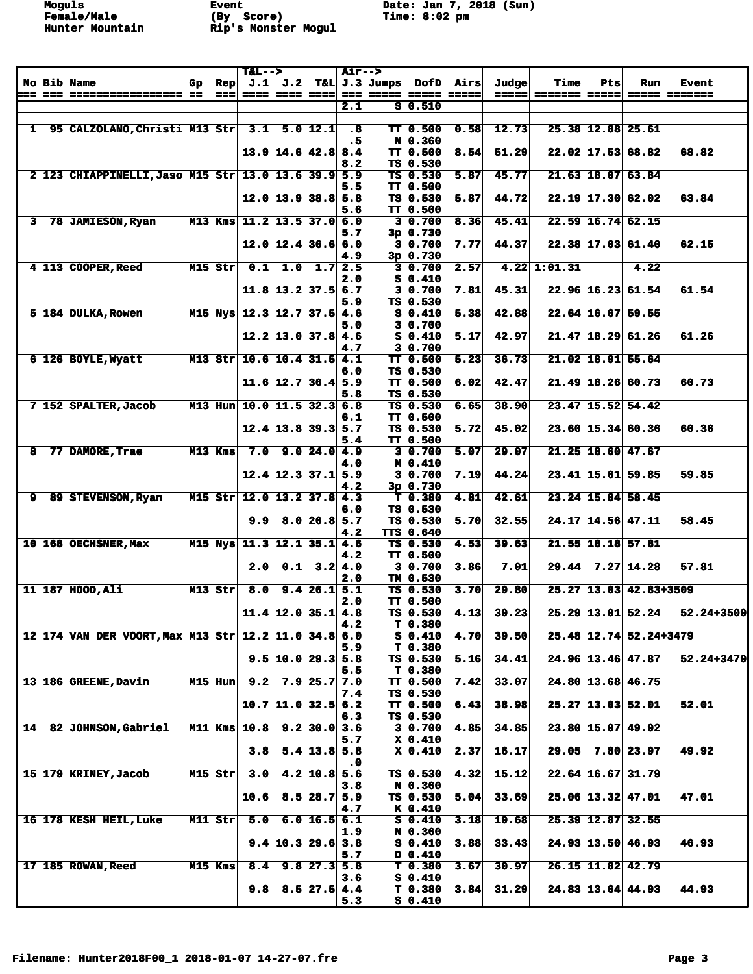**Moguls Event Date: Jan 7, 2018 (Sun)**

|                |                                                      |    |                        | $T&L-->$                   |                      |                | <b>Air--&gt;</b>              |                                                              |                                |      |                |                        |     |                        |                               |  |
|----------------|------------------------------------------------------|----|------------------------|----------------------------|----------------------|----------------|-------------------------------|--------------------------------------------------------------|--------------------------------|------|----------------|------------------------|-----|------------------------|-------------------------------|--|
| ===            | <b>No Bib Name</b>                                   | Gp | Rep<br>$=$ $=$ $=$ $ $ |                            | ==== ==== ====       |                |                               | $J.1$ $J.2$ T&L J.3 Jumps DofD Airs<br>=== ===== ===== ===== |                                |      | Judge<br>===== | Time<br>sessess sessel | Pts | Run                    | <b>Event</b><br>===== ======= |  |
|                |                                                      |    |                        |                            |                      |                | 2.1                           |                                                              | $S$ 0.510                      |      |                |                        |     |                        |                               |  |
|                |                                                      |    |                        |                            |                      |                |                               |                                                              |                                |      |                |                        |     |                        |                               |  |
| 1 <sup>1</sup> | 95 CALZOLANO, Christi M13 Str                        |    |                        |                            | $3.1$ 5.0 12.1       |                | $\boldsymbol{\cdot}$ 8<br>. 5 |                                                              | <b>TT 0.500</b><br>N 0.360     | 0.58 | 12.73          |                        |     | 25.38 12.88 25.61      |                               |  |
|                |                                                      |    |                        |                            | $13.9$ 14.6 42.8     |                | 8.4                           |                                                              | TT 0.500                       | 8.54 | 51.29          |                        |     | $22.02$ 17.53 68.82    | 68.82                         |  |
|                |                                                      |    |                        |                            |                      |                | 8.2                           |                                                              | TS 0.530                       |      |                |                        |     |                        |                               |  |
|                | 2 123 CHIAPPINELLI, Jaso M15 Str 13.0 13.6 39.9 5.9  |    |                        |                            |                      |                |                               |                                                              | TS 0.530                       | 5.87 | 45.77          |                        |     | $21.63$ 18.07 63.84    |                               |  |
|                |                                                      |    |                        |                            | $12.0$ 13.9 38.8 5.8 |                | 5.5                           |                                                              | <b>TT 0.500</b><br>TS 0.530    | 5.87 | 44.72          |                        |     | $22.19$ 17.30 62.02    | 63.84                         |  |
|                |                                                      |    |                        |                            |                      |                | 5.6                           |                                                              | <b>TT 0.500</b>                |      |                |                        |     |                        |                               |  |
| 3              | 78 JAMIESON, Ryan                                    |    |                        | M13 Kms 11.2 13.5 37.0 6.0 |                      |                |                               |                                                              | 30.700                         | 8.36 | 45.41          |                        |     | 22.59 16.74 62.15      |                               |  |
|                |                                                      |    |                        |                            | $12.0$ 12.4 36.6 6.0 |                | 5.7                           |                                                              | 3p0.730<br>30.700              | 7.77 | 44.37          |                        |     | 22.38 17.03 61.40      | 62.15                         |  |
|                |                                                      |    |                        |                            |                      |                | 4.9                           |                                                              | 3p 0.730                       |      |                |                        |     |                        |                               |  |
|                | 4 113 COOPER, Reed                                   |    | $M15$ Str              |                            | $0.1$ 1.0 1.7 2.5    |                |                               |                                                              | 30.700                         | 2.57 |                | 4.22   1:01.31         |     | 4.22                   |                               |  |
|                |                                                      |    |                        |                            |                      |                | 2.0                           |                                                              | $S_0.410$                      |      |                |                        |     |                        |                               |  |
|                |                                                      |    |                        |                            | $11.8$ 13.2 37.5 6.7 |                | 5.9                           |                                                              | 3 0.700<br>TS 0.530            | 7.81 | 45.31          |                        |     | $22.96$ 16.23 61.54    | 61.54                         |  |
|                | 5 184 DULKA, Rowen                                   |    |                        | M15 Nys 12.3 12.7 37.5 4.6 |                      |                |                               |                                                              | $S_0.410$                      | 5.38 | 42.88          |                        |     | 22.64 16.67 59.55      |                               |  |
|                |                                                      |    |                        |                            |                      |                | 5.0                           |                                                              | 3 0.700                        |      |                |                        |     |                        |                               |  |
|                |                                                      |    |                        |                            | $12.2$ 13.0 37.8 4.6 |                |                               |                                                              | $S_0.410$<br>3 0.700           | 5.17 | 42.97          |                        |     | $21.47$ 18.29 61.26    | 61.26                         |  |
|                | 6 126 BOYLE, Wyatt                                   |    |                        | M13 Str 10.6 10.4 31.5 4.1 |                      |                | 4.7                           |                                                              | <b>TT 0.500</b>                | 5.23 | 36.73          |                        |     | $21.02$ 18.91 55.64    |                               |  |
|                |                                                      |    |                        |                            |                      |                | 6.0                           |                                                              | TS 0.530                       |      |                |                        |     |                        |                               |  |
|                |                                                      |    |                        |                            | 11.6 12.7 36.4 5.9   |                |                               |                                                              | TT 0.500                       | 6.02 | 42.47          |                        |     | 21.49 18.26 60.73      | 60.73                         |  |
|                | 7 152 SPALTER, Jacob                                 |    |                        | M13 Hun 10.0 11.5 32.3 6.8 |                      |                | 5.8                           |                                                              | TS 0.530<br>TS 0.530           | 6.65 | 38.90          |                        |     | 23.47 15.52 54.42      |                               |  |
|                |                                                      |    |                        |                            |                      |                | 6.1                           |                                                              | <b>TT 0.500</b>                |      |                |                        |     |                        |                               |  |
|                |                                                      |    |                        |                            | $12.4$ 13.8 39.3 5.7 |                |                               |                                                              | TS 0.530                       | 5.72 | 45.02          |                        |     | 23.60 15.34 60.36      | 60.36                         |  |
|                |                                                      |    |                        |                            |                      |                | 5.4                           |                                                              | TT 0.500                       |      |                |                        |     |                        |                               |  |
| 8              | 77 DAMORE, Trae                                      |    | $M13$ Kms              |                            | $7.0$ 9.0 24.0 4.9   |                | 4.0                           |                                                              | 3 0.700<br>M 0.410             | 5.07 | 29.07          |                        |     | $21.25$ 18.60 47.67    |                               |  |
|                |                                                      |    |                        |                            | $12.4$ 12.3 37.1 5.9 |                |                               |                                                              | 3 0.700                        | 7.19 | 44.24          |                        |     | 23.41 15.61 59.85      | 59.85                         |  |
|                |                                                      |    |                        |                            |                      |                | 4.2                           |                                                              | 3p 0.730                       |      |                |                        |     |                        |                               |  |
| 9              | 89 STEVENSON, Ryan                                   |    |                        | M15 Str 12.0 13.2 37.8 4.3 |                      |                | 6.0                           |                                                              | T <sub>0.380</sub><br>TS 0.530 | 4.81 | 42.61          |                        |     | 23.24 15.84 58.45      |                               |  |
|                |                                                      |    |                        |                            | $9.9$ 8.0 26.8 5.7   |                |                               |                                                              | TS 0.530                       | 5.70 | 32.55          |                        |     | 24.17 14.56 47.11      | 58.45                         |  |
|                |                                                      |    |                        |                            |                      |                | 4.2                           |                                                              | TTS 0.640                      |      |                |                        |     |                        |                               |  |
|                | 10 168 OECHSNER, Max                                 |    |                        | M15 Nys 11.3 12.1 35.1 4.6 |                      |                |                               |                                                              | TS 0.530                       | 4.53 | 39.63          |                        |     | 21.55 18.18 57.81      |                               |  |
|                |                                                      |    |                        | 2.0                        | 0.1                  | 3.2 4.0        | 4.2                           |                                                              | <b>TT 0.500</b><br>3 0.700     | 3.86 | 7.01           |                        |     | $29.44$ 7.27 14.28     | 57.81                         |  |
|                |                                                      |    |                        |                            |                      |                | 2.0                           |                                                              | TM 0.530                       |      |                |                        |     |                        |                               |  |
|                | 11 187 HOOD, Ali                                     |    | $M13$ Str              | 8.0                        |                      | 9.426.15.1     |                               |                                                              | TS 0.530                       | 3.70 | 29.80          |                        |     | 25.27 13.03 42.83+3509 |                               |  |
|                |                                                      |    |                        |                            | $11.4$ 12.0 35.1 4.8 |                | 2.0                           |                                                              | <b>TT 0.500</b><br>TS 0.530    | 4.13 | 39.23          |                        |     | 25.29 13.01 52.24      | 52.24+3509                    |  |
|                |                                                      |    |                        |                            |                      |                | 4.2                           |                                                              | T 0.380                        |      |                |                        |     |                        |                               |  |
|                | 12 174 VAN DER VOORT, Max M13 Str 12.2 11.0 34.8 6.0 |    |                        |                            |                      |                |                               |                                                              | $S_0.410$                      | 4.70 | 39.50          |                        |     | 25.48 12.74 52.24+3479 |                               |  |
|                |                                                      |    |                        |                            |                      |                | 5.9                           |                                                              | T 0.380                        |      |                |                        |     |                        |                               |  |
|                |                                                      |    |                        |                            | $9.5$ 10.0 29.3 5.8  |                | 5.5                           |                                                              | TS 0.530<br>T 0.380            | 5.16 | 34.41          |                        |     | 24.96 13.46 47.87      | 52.24+3479                    |  |
|                | 13 186 GREENE, Davin                                 |    | M15 Hun                |                            | $9.2$ 7.9 25.7 7.0   |                |                               |                                                              | <b>TT 0.500</b>                | 7.42 | 33.07          |                        |     | 24.80 13.68 46.75      |                               |  |
|                |                                                      |    |                        |                            |                      |                | 7.4                           |                                                              | TS 0.530                       |      |                |                        |     |                        |                               |  |
|                |                                                      |    |                        |                            | $10.7$ 11.0 32.5 6.2 |                | 6.3                           |                                                              | <b>TT 0.500</b><br>TS 0.530    | 6.43 | 38.98          |                        |     | $25.27$ 13.03 52.01    | 52.01                         |  |
| 14             | <b>82 JOHNSON, Gabriel</b>                           |    |                        | M11 Kms 10.8 9.2 30.0 3.6  |                      |                |                               |                                                              | 30.700                         | 4.85 | 34.85          |                        |     | 23.80 15.07 49.92      |                               |  |
|                |                                                      |    |                        |                            |                      |                | 5.7                           |                                                              | $X_0.410$                      |      |                |                        |     |                        |                               |  |
|                |                                                      |    |                        | 3.8                        |                      | $5.4$ 13.8 5.8 |                               |                                                              | $X$ 0.410                      | 2.37 | 16.17          |                        |     | $29.05$ $7.80$ 23.97   | 49.92                         |  |
|                | 15 179 KRINEY, Jacob                                 |    | $M15$ Str              | 3.0                        |                      | $4.2$ 10.8 5.6 | . 0                           |                                                              | TS 0.530                       | 4.32 | 15.12          |                        |     | 22.64 16.67 31.79      |                               |  |
|                |                                                      |    |                        |                            |                      |                | 3.8                           |                                                              | N 0.360                        |      |                |                        |     |                        |                               |  |
|                |                                                      |    |                        | 10.6                       |                      | $8.5$ 28.7 5.9 |                               |                                                              | TS 0.530                       | 5.04 | 33.69          |                        |     | $25.06$ 13.32 47.01    | 47.01                         |  |
|                | 16 178 KESH HEIL, Luke                               |    | $M11$ Str              |                            | $5.0$ 6.0 16.5 6.1   |                | 4.7                           |                                                              | K 0.410<br>$S_0.410$           | 3.18 | 19.68          |                        |     | 25.39 12.87 32.55      |                               |  |
|                |                                                      |    |                        |                            |                      |                | 1.9                           |                                                              | N 0.360                        |      |                |                        |     |                        |                               |  |
|                |                                                      |    |                        |                            | $9.4$ 10.3 29.6 3.8  |                |                               |                                                              | $S_0.410$                      | 3.88 | 33.43          |                        |     | 24.93 13.50 46.93      | 46.93                         |  |
|                | 17 185 ROWAN, Reed                                   |    | M15 Kms                |                            | $8.4$ 9.8 27.3 5.8   |                | 5.7                           |                                                              | D 0.410<br>T <sub>0.380</sub>  | 3.67 | 30.97          |                        |     | 26.15 11.82 42.79      |                               |  |
|                |                                                      |    |                        |                            |                      |                | 3.6                           |                                                              | $S_0.410$                      |      |                |                        |     |                        |                               |  |
|                |                                                      |    |                        |                            | $9.8$ 8.5 27.5 4.4   |                |                               |                                                              | T <sub>0.380</sub>             | 3.84 | 31.29          |                        |     | $24.83$ 13.64 44.93    | 44.93                         |  |
|                |                                                      |    |                        |                            |                      |                | 5.3                           |                                                              | $S_0.410$                      |      |                |                        |     |                        |                               |  |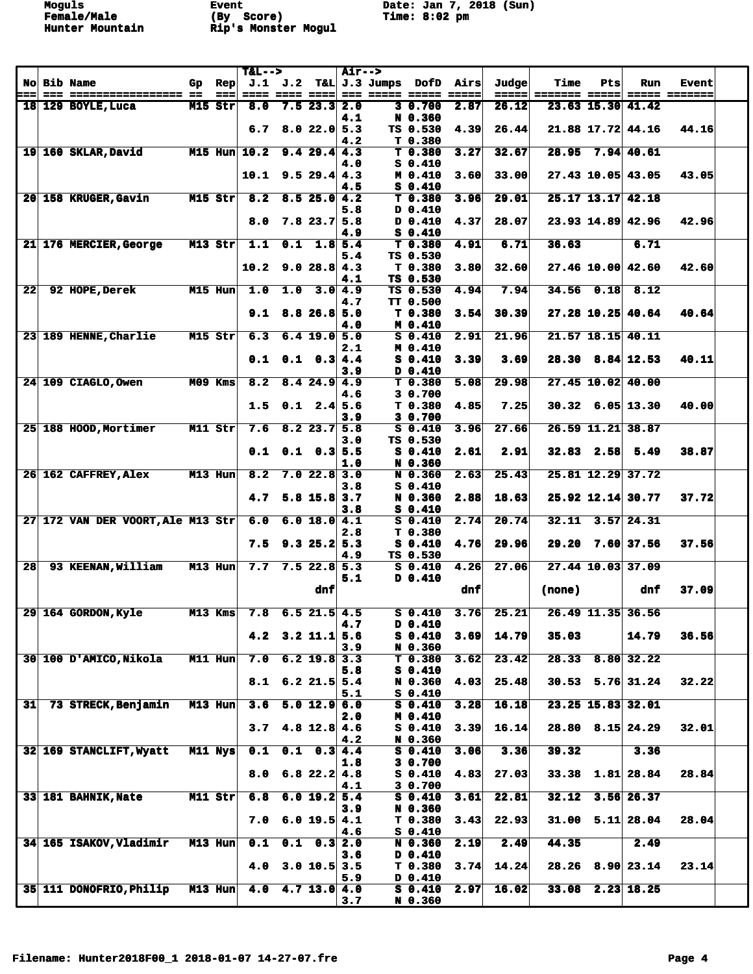Moguls Event Date: Jan 7, 2018 (Sun)<br> **Example/Male** (By Score) ... Time: 8:02 pm

|     |                                                 |    |                       | $T&L-->$       |     |                                      | <b>Air--&gt;</b> |                        |                                          |                                                           |                |                       |                |                        |                               |  |
|-----|-------------------------------------------------|----|-----------------------|----------------|-----|--------------------------------------|------------------|------------------------|------------------------------------------|-----------------------------------------------------------|----------------|-----------------------|----------------|------------------------|-------------------------------|--|
| === | <b>No Bib Name</b><br>=== ================== == | Gp | $\mathbf{Rep}$<br>=== | ==== ==== ==== |     |                                      |                  | <b>AND BERGE BERGE</b> | $J.1$ $J.2$ T&L $J.3$ Jumps DofD Airs    | $\qquad \qquad \doteq \qquad \qquad \doteq \qquad \qquad$ | Judge<br>===== | Time<br>======= ===== | Pts            | Run                    | <b>Event</b><br>===== ======= |  |
|     | 18 129 BOYLE, Luca                              |    | $M15$ Str             | 8.0            |     | $7.5$ 23.3                           | 2.0              |                        | 3 0.700                                  | 2.87                                                      | 26.12          |                       |                | 23.63 15.30 41.42      |                               |  |
|     |                                                 |    |                       | 6.7            |     | 8.022.05.3                           | 4.1              |                        | N 0.360<br>TS 0.530                      | 4.39                                                      | 26.44          |                       |                | 21.88 17.72 44.16      | 44.16                         |  |
|     | 19 160 SKLAR, David                             |    |                       | M15 Hun 10.2   |     | 9.429.44.3                           | 4.2              |                        | T <sub>0.380</sub><br>T <sub>0.380</sub> | 3.27                                                      | 32.67          |                       |                | 28.95 7.94 40.61       |                               |  |
|     |                                                 |    |                       |                |     |                                      | 4.0              |                        | $S_0.410$                                |                                                           |                |                       |                |                        |                               |  |
|     |                                                 |    |                       | 10.1           |     | 9.529.44.3                           | 4.5              |                        | M 0.410<br>$S_0.410$                     | 3.60                                                      | 33.00          |                       |                | 27.43 10.05 43.05      | 43.05                         |  |
|     | 20 158 KRUGER, Gavin                            |    | $M15$ Str             | 8.2            |     | 8.525.04.2                           | 5.8              |                        | $T$ 0.380<br>D 0.410                     | 3.96                                                      | 29.01          |                       |                | $25.17$ 13.17 42.18    |                               |  |
|     |                                                 |    |                       | 8.0            |     | $7.8$ 23.7 5.8                       |                  |                        | D 0.410                                  | 4.37                                                      | 28.07          |                       |                | 23.93 14.89 42.96      | 42.96                         |  |
|     | 21 176 MERCIER, George                          |    | $M13$ Str             | 1.1            | 0.1 | $1.8 \, 5.4$                         | 4.9              |                        | $S_0.410$<br>$T$ 0.380                   | 4.91                                                      | 6.71           | 36.63                 |                | 6.71                   |                               |  |
|     |                                                 |    |                       | 10.2           |     | 9.028.84.3                           | 5.4              |                        | TS 0.530<br>T <sub>0.380</sub>           | 3.80                                                      | 32.60          |                       |                | 27.46 10.00 42.60      | 42.60                         |  |
|     |                                                 |    |                       |                |     |                                      | 4.1              |                        | TS 0.530                                 |                                                           |                |                       |                |                        |                               |  |
| 22  | 92 HOPE, Derek                                  |    | M15 Hun               | 1.0            | 1.0 |                                      | 3.0 4.9<br>4.7   |                        | TS 0.530<br><b>TT 0.500</b>              | 4.94                                                      | 7.94           |                       | $34.56$ $0.18$ | 8.12                   |                               |  |
|     |                                                 |    |                       | 9.1            |     | $8.8$ 26.8 5.0                       | 4.0              |                        | T <sub>0.380</sub><br>M 0.410            | 3.54                                                      | 30.39          |                       |                | $27.28$ 10.25 40.64    | 40.64                         |  |
|     | 23 189 HENNE, Charlie                           |    | $M15$ Str             | 6.3            |     | $6.4$ 19.0 5.0                       |                  |                        | $S$ 0.410                                | 2.91                                                      | 21.96          |                       |                | $21.57$ 18.15 40.11    |                               |  |
|     |                                                 |    |                       | 0.1            |     | $0.1 \quad 0.3 \, 4.4$               | 2.1              |                        | M 0.410<br>$S_0.410$                     | 3.39                                                      | 3.69           |                       |                | $28.30$ $8.84$ 12.53   | 40.11                         |  |
|     | 24 109 CIAGLO.Owen                              |    | $M09$ Kms             | 8.2            |     | $8.4$ 24.9 4.9                       | 3.9              |                        | D 0.410<br>T <sub>0.380</sub>            | 5.08                                                      | 29.98          |                       |                | 27.45 10.02 40.00      |                               |  |
|     |                                                 |    |                       |                |     |                                      | 4.6              |                        | 3 0.700                                  |                                                           |                |                       |                |                        |                               |  |
|     |                                                 |    |                       | 1.5            | 0.1 | $2.4 \, 5.6$                         | 3.9              |                        | T 0.380<br>3 0.700                       | 4.85                                                      | 7.25           |                       |                | $30.32$ 6.05 13.30     | 40.00                         |  |
|     | 25 188 HOOD, Mortimer                           |    | $M11$ Str             | 7.6            |     | $8.2$ 23.7 5.8                       | 3.0              |                        | $S_0.410$<br>TS 0.530                    | 3.96                                                      | 27.66          |                       |                | 26.59 11.21 38.87      |                               |  |
|     |                                                 |    |                       | 0.1            | 0.1 | $0.3$ 5.5                            |                  |                        | $S_0.410$                                | 2.61                                                      | 2.91           |                       | $32.83$ 2.58   | 5.49                   | 38.87                         |  |
|     | 26 162 CAFFREY, Alex                            |    | $M13$ Hun             | 8.2            |     | $7.0$ 22.8 3.0                       | 1.0              |                        | N 0.360<br>N 0.360                       | 2.63                                                      | 25.43          |                       |                | 25.81 12.29 37.72      |                               |  |
|     |                                                 |    |                       | 4.7            |     | $5.8$ 15.8 3.7                       | 3.8              |                        | $S_0.410$<br>N 0.360                     | 2.88                                                      | 18.63          |                       |                | 25.92 12.14 30.77      | 37.72                         |  |
|     | 27 172 VAN DER VOORT, Ale M13 Str               |    |                       | 6.0            |     | 6.0 18.0   4.1                       | 3.8              |                        | $S_0.410$<br>$S_0.410$                   | 2.74                                                      | 20.74          |                       |                | $32.11$ $3.57$ $24.31$ |                               |  |
|     |                                                 |    |                       |                |     |                                      | 2.8              |                        | T <sub>0.380</sub>                       |                                                           |                |                       |                |                        |                               |  |
|     |                                                 |    |                       | 7.5            |     | $9.3$ 25.2 5.3                       | 4.9              |                        | $S_0.410$<br>TS 0.530                    | 4.76                                                      | 29.96          |                       |                | 29.20 7.60 37.56       | 37.56                         |  |
| 28  | 93 KEENAN, William                              |    | M13 Hun               | 7.7            |     | $7.5$ 22.8 5.3                       | 5.1              |                        | $S_0.410$<br>D 0.410                     | 4.26                                                      | 27.06          |                       |                | 27.44 10.03 37.09      |                               |  |
|     |                                                 |    |                       |                |     | dnf                                  |                  |                        |                                          | dnf                                                       |                | (none)                |                | dnf                    | 37.09                         |  |
|     | 29 164 GORDON, Kyle                             |    | $M13$ Kms             |                |     | $7.8$ 6.5 21.5 4.5                   |                  |                        | $S$ 0.410                                | 3.76                                                      | 25.21          |                       |                | 26.49 11.35 36.56      |                               |  |
|     |                                                 |    |                       | 4.2            |     | $3.2$ 11.1                           | 4.7<br>5.6       |                        | D 0.410<br>$S_0.410$                     | 3.69                                                      | 14.79          | 35.03                 |                | 14.79                  | 36.56                         |  |
|     |                                                 |    |                       |                |     |                                      | 3.9              |                        | N 0.360                                  |                                                           |                |                       |                |                        |                               |  |
|     | 30 100 D'AMICO, Nikola                          |    | $M11$ Hun             | 7.0            |     | $6.2$ 19.8 3.3                       | 5.8              |                        | T <sub>0.380</sub><br>$S_0.410$          | 3.62                                                      | 23.42          |                       |                | 28.33 8.80 32.22       |                               |  |
|     |                                                 |    |                       |                |     | $8.1 \quad 6.2 \quad 21.5 \quad 5.4$ | 5.1              |                        | N 0.360<br>$S_0.410$                     | 4.03                                                      | 25.48          |                       |                | $30.53$ $5.76$ 31.24   | 32.22                         |  |
| 31  | 73 STRECK, Benjamin                             |    | $M13$ Hun             | 3.6            |     | $\overline{5.0}$ 12.9 6.0            |                  |                        | $S_0.410$                                | 3.28                                                      | 16.18          |                       |                | 23.25 15.83 32.01      |                               |  |
|     |                                                 |    |                       | 3.7            |     | $4.8$ 12.8 $4.6$                     | 2.0              |                        | M 0.410<br>$S_0.410$                     | 3.39                                                      | 16.14          |                       |                | $28.80$ $8.15$ $24.29$ | 32.01                         |  |
|     | 32 169 STANCLIFT, Wyatt                         |    | M11 Nys               | 0.1            |     | $0.1 \quad 0.3 \quad 4.4$            | 4.2              |                        | N 0.360<br>$S_0.410$                     | 3.06                                                      | 3.36           | 39.32                 |                | 3.36                   |                               |  |
|     |                                                 |    |                       | 8.0            |     | $6.8$ 22.2 4.8                       | 1.8              |                        | 3 0.700<br>$S_0.410$                     | 4.83                                                      | 27.03          |                       |                | $33.38$ 1.81 28.84     | 28.84                         |  |
|     |                                                 |    |                       |                |     |                                      | 4.1              |                        | 3 0.700                                  |                                                           |                |                       |                |                        |                               |  |
|     | 33 181 BAHNIK, Nate                             |    | $M11$ Str             | 6.8            |     | 6.0 19.2 5.4                         | 3.9              |                        | $S_0.410$<br>N 0.360                     | 3.61                                                      | 22.81          | 32.12                 |                | $3.56$ 26.37           |                               |  |
|     |                                                 |    |                       | 7.0            |     | 6.0 19.5 4.1                         | 4.6              |                        | T <sub>0.380</sub><br>$S_0.410$          | 3.43                                                      | 22.93          |                       |                | $31.00$ $5.11$ 28.04   | 28.04                         |  |
|     | <b>34 165 ISAKOV, Vladimir</b>                  |    | $M13$ Hun             | 0.1            |     | $0.1 \quad 0.3 \,   \, 2.0$          |                  |                        | N 0.360                                  | 2.19                                                      | 2.49           | 44.35                 |                | 2.49                   |                               |  |
|     |                                                 |    |                       | 4.0            |     | $3.0$ 10.5 3.5                       | 3.6              |                        | $D$ 0.410<br>T 0.380                     | 3.74                                                      | 14.24          |                       |                | $28.26$ $8.90$ 23.14   | 23.14                         |  |
|     | 35 111 DONOFRIO, Philip M13 Hun                 |    |                       | 4.0            |     | $4.7$ 13.0 4.0                       | 5.9              |                        | D 0.410<br>$S_0.410$                     | 2.97                                                      | 16.02          |                       |                | $33.08$ 2.23 18.25     |                               |  |
|     |                                                 |    |                       |                |     |                                      | 3.7              |                        | N 0.360                                  |                                                           |                |                       |                |                        |                               |  |